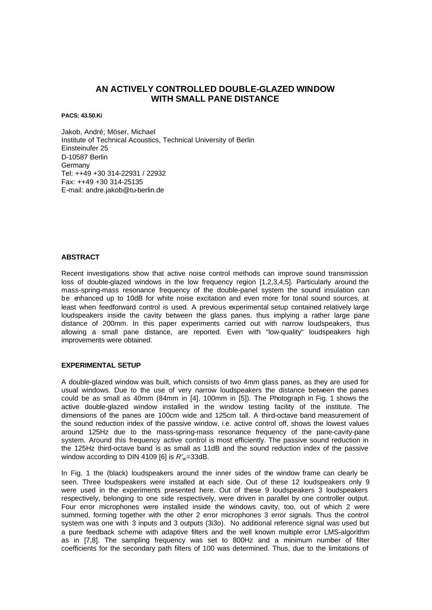# **AN ACTIVELY CONTROLLED DOUBLE-GLAZED WINDOW WITH SMALL PANE DISTANCE**

**PACS: 43.50.Ki**

Jakob, André; Möser, Michael Institute of Technical Acoustics, Technical University of Berlin Einsteinufer 25 D-10587 Berlin Germany Tel: ++49 +30 314-22931 / 22932 Fax: ++49 +30 314-25135 E-mail: andre.jakob@tu-berlin.de

## **ABSTRACT**

Recent investigations show that active noise control methods can improve sound transmission loss of double-glazed windows in the low frequency region [1,2,3,4,5]. Particularly around the mass-spring-mass resonance frequency of the double-panel system the sound insulation can be enhanced up to 10dB for white noise excitation and even more for tonal sound sources, at least when feedforward control is used. A previous experimental setup contained relatively large loudspeakers inside the cavity between the glass panes, thus implying a rather large pane distance of 200mm. In this paper experiments carried out with narrow loudspeakers, thus allowing a small pane distance, are reported. Even with "low-quality" loudspeakers high improvements were obtained.

#### **EXPERIMENTAL SETUP**

A double-glazed window was built, which consists of two 4mm glass panes, as they are used for usual windows. Due to the use of very narrow loudspeakers the distance between the panes could be as small as 40mm (84mm in [4], 100mm in [5]). The Photograph in Fig. 1 shows the active double-glazed window installed in the window testing facility of the institute. The dimensions of the panes are 100cm wide and 125cm tall. A third-octave band measurement of the sound reduction index of the passive window, i.e. active control off, shows the lowest values around 125Hz due to the mass-spring-mass resonance frequency of the pane-cavity-pane system. Around this frequency active control is most efficiently. The passive sound reduction in the 125Hz third-octave band is as small as 11dB and the sound reduction index of the passive window according to DIN 4109 [6] is *R'w*=33dB.

In Fig. 1 the (black) loudspeakers around the inner sides of the window frame can clearly be seen. Three loudspeakers were installed at each side. Out of these 12 loudspeakers only 9 were used in the experiments presented here. Out of these 9 loudspeakers 3 loudspeakers respectively, belonging to one side respectively, were driven in parallel by one controller output. Four error microphones were installed inside the windows cavity, too, out of which 2 were summed, forming together with the other 2 error microphones 3 error signals. Thus the control system was one with 3 inputs and 3 outputs (3i3o). No additional reference signal was used but a pure feedback scheme with adaptive filters and the well known multiple error LMS-algorithm as in [7,8]. The sampling frequency was set to 800Hz and a minimum number of filter coefficients for the secondary path filters of 100 was determined. Thus, due to the limitations of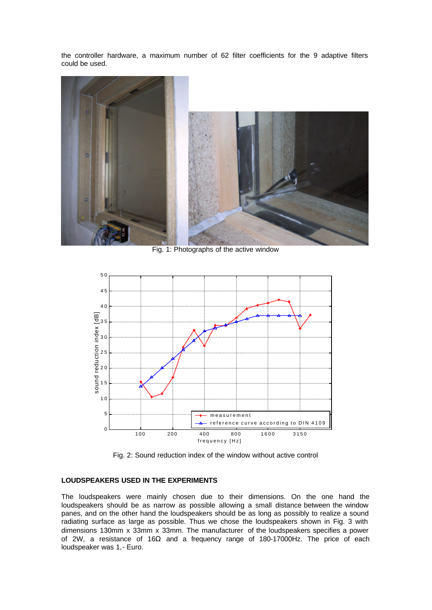the controller hardware, a maximum number of 62 filter coefficients for the 9 adaptive filters could be used.



Fig. 1: Photographs of the active window



Fig. 2: Sound reduction index of the window without active control

## **LOUDSPEAKERS USED IN THE EXPERIMENTS**

The loudspeakers were mainly chosen due to their dimensions. On the one hand the loudspeakers should be as narrow as possible allowing a small distance between the window panes, and on the other hand the loudspeakers should be as long as possibly to realize a sound radiating surface as large as possible. Thus we chose the loudspeakers shown in Fig. 3 with dimensions 130mm x 33mm x 33mm. The manufacturer of the loudspeakers specifies a power of 2W, a resistance of 16Ω and a frequency range of 180-17000Hz. The price of each loudspeaker was 1,- Euro.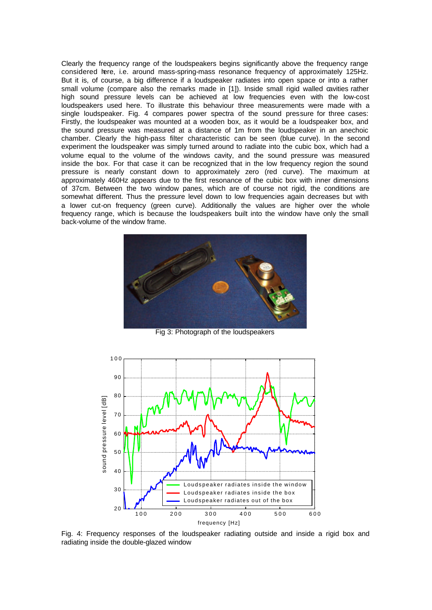Clearly the frequency range of the loudspeakers begins significantly above the frequency range considered here, i.e. around mass-spring-mass resonance frequency of approximately 125Hz. But it is, of course, a big difference if a loudspeaker radiates into open space or into a rather small volume (compare also the remarks made in [1]). Inside small rigid walled cavities rather high sound pressure levels can be achieved at low frequencies even with the low-cost loudspeakers used here. To illustrate this behaviour three measurements were made with a single loudspeaker. Fig. 4 compares power spectra of the sound pressure for three cases: Firstly, the loudspeaker was mounted at a wooden box, as it would be a loudspeaker box, and the sound pressure was measured at a distance of 1m from the loudspeaker in an anechoic chamber. Clearly the high-pass filter characteristic can be seen (blue curve). In the second experiment the loudspeaker was simply turned around to radiate into the cubic box, which had a volume equal to the volume of the windows cavity, and the sound pressure was measured inside the box. For that case it can be recognized that in the low frequency region the sound pressure is nearly constant down to approximately zero (red curve). The maximum at approximately 460Hz appears due to the first resonance of the cubic box with inner dimensions of 37cm. Between the two window panes, which are of course not rigid, the conditions are somewhat different. Thus the pressure level down to low frequencies again decreases but with a lower cut-on frequency (green curve). Additionally the values are higher over the whole frequency range, which is because the loudspeakers built into the window have only the small back-volume of the window frame.



Fig 3: Photograph of the loudspeakers



Fig. 4: Frequency responses of the loudspeaker radiating outside and inside a rigid box and radiating inside the double-glazed window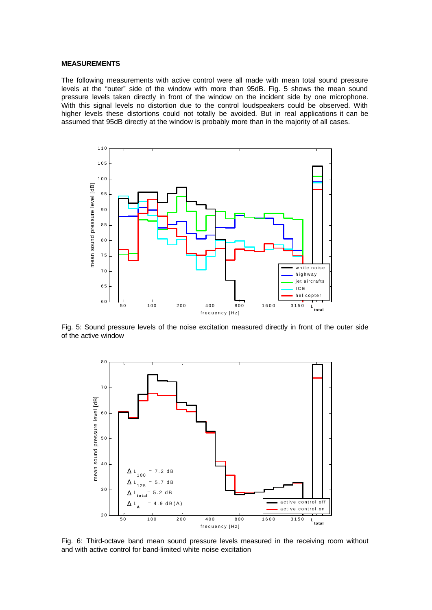### **MEASUREMENTS**

The following measurements with active control were all made with mean total sound pressure levels at the "outer" side of the window with more than 95dB. Fig. 5 shows the mean sound pressure levels taken directly in front of the window on the incident side by one microphone. With this signal levels no distortion due to the control loudspeakers could be observed. With higher levels these distortions could not totally be avoided. But in real applications it can be assumed that 95dB directly at the window is probably more than in the majority of all cases.



Fig. 5: Sound pressure levels of the noise excitation measured directly in front of the outer side of the active window



Fig. 6: Third-octave band mean sound pressure levels measured in the receiving room without and with active control for band-limited white noise excitation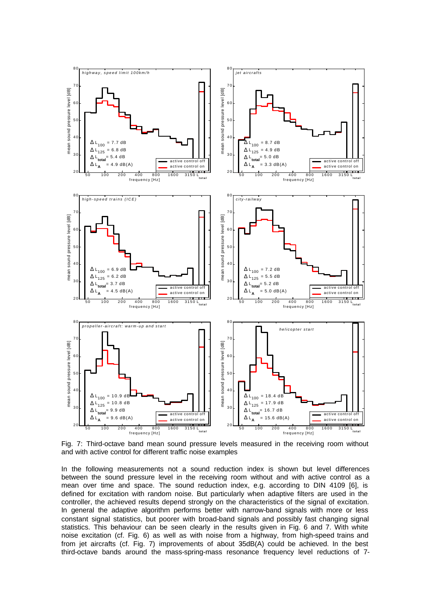

Fig. 7: Third-octave band mean sound pressure levels measured in the receiving room without and with active control for different traffic noise examples

In the following measurements not a sound reduction index is shown but level differences between the sound pressure level in the receiving room without and with active control as a mean over time and space. The sound reduction index, e.g. according to DIN 4109 [6], is defined for excitation with random noise. But particularly when adaptive filters are used in the controller, the achieved results depend strongly on the characteristics of the signal of excitation. In general the adaptive algorithm performs better with narrow-band signals with more or less constant signal statistics, but poorer with broad-band signals and possibly fast changing signal statistics. This behaviour can be seen clearly in the results given in Fig. 6 and 7. With white noise excitation (cf. Fig. 6) as well as with noise from a highway, from high-speed trains and from jet aircrafts (cf. Fig. 7) improvements of about 35dB(A) could be achieved. In the best third-octave bands around the mass-spring-mass resonance frequency level reductions of 7